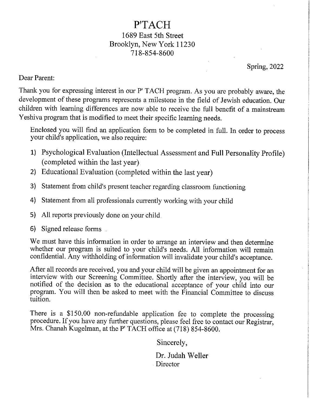# P'TACH

#### 1689 East 5th Street Brooklyn, New York 11230 718-854-8600

Spring, 2022

Dear Parent:

Thank you for expressing interest in our P' TACH program. As you are probably aware, the development of these programs represents a milestone in the field of Jewish education. Our children with learning differences are now able to receive the full benefit of a mainstream Yeshiva program that is modified to meet their specific learning needs.

Enclosed you will find an application form to be completed in full. In order to process your child's application, we also require:

- 1) Psychological Evaluation (Intellectual Assessment and Full Personality Profile) (completed within the last year).
- 2) Educational Evaluation (completed within the last year)
- 3) Statement from child's present teacher regarding classroom functioning
- 4) Statement from all professionals currently working with your child
- 5) All reports previously done on your child.
- 6) Signed release forms.

We must have this information in order to arrange an interview and then determine whether our program is suited to your child's needs. All information will remain confidential. Any withholding of information will invalidate your child's acceptance.

After all records are received, you and your child will be given an appointment for an interview with our Screening Committee. Shortly after the interview, you will be notified of the decision as to the educational acceptance of your child into our program. You will then be asked to meet with the Financial Committee to discuss tuition.

There is a \$150.00 non-refundable application fee to complete the processing procedure. If you have any further questions, please feel free to contact our Registrar, Mrs. Chanah Kugelman, at the P' TACH office at (718) 854-8600.

Sincerely,

Dr. Judah Weller Director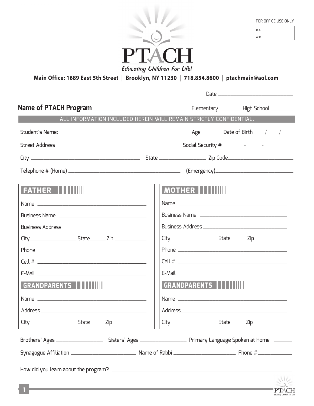

|                             | ALL INFORMATION INCLUDED HEREIN WILL REMAIN STRICTLY CONFIDENTIAL. |
|-----------------------------|--------------------------------------------------------------------|
|                             |                                                                    |
|                             |                                                                    |
|                             |                                                                    |
|                             |                                                                    |
| <b>FATHER III</b>           | MOTHER III                                                         |
|                             |                                                                    |
|                             |                                                                    |
|                             |                                                                    |
|                             |                                                                    |
|                             |                                                                    |
|                             |                                                                    |
|                             |                                                                    |
| GRANDPARENTS                | <b>GRANDPARENTS      </b>                                          |
|                             |                                                                    |
|                             |                                                                    |
| $City$ $City$ $State$ $Zip$ |                                                                    |
|                             |                                                                    |
|                             |                                                                    |
|                             |                                                                    |

Educating Children For Life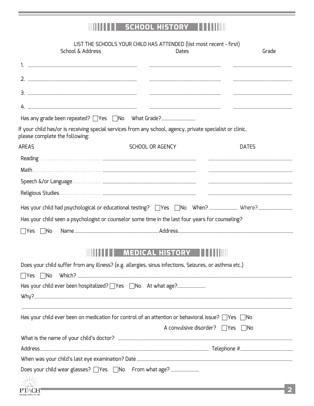## **SCHOOL HISTORY TITHING**

#### LIST THE SCHOOLS YOUR CHILD HAS ATTENDED (list most recent - first)

| School & Address                                                                                                                            | Dates                                                                                                                  | Grade        |
|---------------------------------------------------------------------------------------------------------------------------------------------|------------------------------------------------------------------------------------------------------------------------|--------------|
|                                                                                                                                             |                                                                                                                        |              |
|                                                                                                                                             |                                                                                                                        |              |
|                                                                                                                                             |                                                                                                                        |              |
|                                                                                                                                             |                                                                                                                        |              |
| Has any grade been repeated? Ves Mo What Grade?                                                                                             |                                                                                                                        |              |
| If your child has/or is receiving special services from any school, agency, private specialist or clinic,<br>please complete the following: |                                                                                                                        |              |
| <b>AREAS</b>                                                                                                                                | <b>SCHOOL OR AGENCY</b>                                                                                                | <b>DATES</b> |
|                                                                                                                                             |                                                                                                                        |              |
|                                                                                                                                             |                                                                                                                        |              |
|                                                                                                                                             |                                                                                                                        |              |
|                                                                                                                                             |                                                                                                                        |              |
| Has your child seen a psychologist or counselor some time in the last four years for counseling?<br>$\Box$ Yes $\Box$ No                    |                                                                                                                        |              |
|                                                                                                                                             |                                                                                                                        |              |
| Does your child suffer from any illness? (e.g. allergies, sinus infections, Seizures, or asthma etc.)<br>$\Box$ Yes $\Box$ No Which? $\Box$ |                                                                                                                        |              |
| Has your child ever been hospitalized? Ves Mo At what age?                                                                                  |                                                                                                                        |              |
| Has your child ever been on medication for control of an attention or behavioral issue? $\Box$ Yes $\Box$ No                                |                                                                                                                        |              |
|                                                                                                                                             | A convulsive disorder? $\Box$ Yes $\Box$ No                                                                            |              |
|                                                                                                                                             |                                                                                                                        |              |
|                                                                                                                                             |                                                                                                                        |              |
|                                                                                                                                             |                                                                                                                        |              |
| Does your child wear glasses? □ Yes □ No From what age? _________<br>$\frac{1}{2}$                                                          | <u> 1989 - Johann Stoff, deutscher Stoffen und der Stoffen und der Stoffen und der Stoffen und der Stoffen und der</u> |              |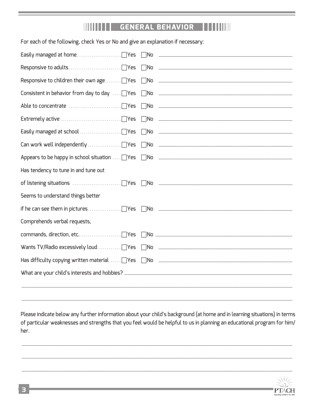#### **GENERAL BEHAVIOR** WITH Ш

For each of the following, check Yes or No and give an explanation if necessary:

| Has tendency to tune in and tune out |                                                                                                                   |
|--------------------------------------|-------------------------------------------------------------------------------------------------------------------|
|                                      | of listening situations $\ldots \ldots \ldots \ldots \square$ Yes $\Box$ No $\ldots \ldots \ldots \ldots \square$ |
| Seems to understand things better    |                                                                                                                   |
|                                      |                                                                                                                   |
| Comprehends verbal requests,         |                                                                                                                   |
|                                      |                                                                                                                   |
|                                      |                                                                                                                   |
|                                      |                                                                                                                   |
|                                      |                                                                                                                   |
|                                      |                                                                                                                   |

Please indicate below any further information about your child's background (at home and in learning situations) in terms of particular weaknesses and strengths that you feel would be helpful to us in planning an educational program for him/ her.

\_\_\_\_\_\_\_\_\_\_\_\_\_\_\_\_\_\_\_\_\_\_\_\_\_\_\_\_\_\_\_\_\_\_\_\_\_\_\_\_\_\_\_\_\_\_\_\_\_\_\_\_\_\_\_\_\_\_\_\_\_\_\_\_\_\_\_\_\_\_\_\_\_\_\_\_\_\_\_\_\_\_\_\_\_\_\_

\_\_\_\_\_\_\_\_\_\_\_\_\_\_\_\_\_\_\_\_\_\_\_\_\_\_\_\_\_\_\_\_\_\_\_\_\_\_\_\_\_\_\_\_\_\_\_\_\_\_\_\_\_\_\_\_\_\_\_\_\_\_\_\_\_\_\_\_\_\_\_\_\_\_\_\_\_\_\_\_\_\_\_\_\_\_\_

\_\_\_\_\_\_\_\_\_\_\_\_\_\_\_\_\_\_\_\_\_\_\_\_\_\_\_\_\_\_\_\_\_\_\_\_\_\_\_\_\_\_\_\_\_\_\_\_\_\_\_\_\_\_\_\_\_\_\_\_\_\_\_\_\_\_\_\_\_\_\_\_\_\_\_\_\_\_\_\_\_\_\_\_\_\_\_

\_\_\_\_\_\_\_\_\_\_\_\_\_\_\_\_\_\_\_\_\_\_\_\_\_\_\_\_\_\_\_\_\_\_\_\_\_\_\_\_\_\_\_\_\_\_\_\_\_\_\_\_\_\_\_\_\_\_\_\_\_\_\_\_\_\_\_\_\_\_\_\_\_\_\_\_\_\_\_\_\_\_\_\_\_\_\_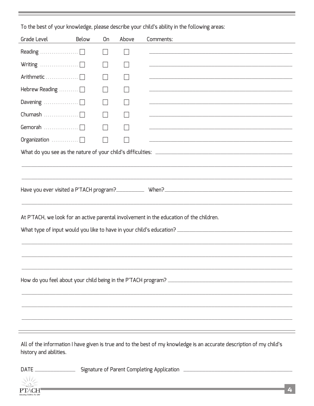|                                                                                                                                                | To the best of your knowledge, please describe your child's ability in the following areas: |                          |        |                                                                                                                  |  |
|------------------------------------------------------------------------------------------------------------------------------------------------|---------------------------------------------------------------------------------------------|--------------------------|--------|------------------------------------------------------------------------------------------------------------------|--|
| Grade Level                                                                                                                                    | Below                                                                                       | On                       | Above  | Comments:                                                                                                        |  |
| Reading $\Box$                                                                                                                                 |                                                                                             |                          |        |                                                                                                                  |  |
| Writing $\ldots$ . $\ldots$ . $\Box$                                                                                                           |                                                                                             | $\vert \ \ \vert$        |        |                                                                                                                  |  |
| Arithmetic $\ldots$ $\Box$                                                                                                                     |                                                                                             | $\overline{\phantom{a}}$ | $\Box$ |                                                                                                                  |  |
| Hebrew Reading  [                                                                                                                              |                                                                                             | $\Box$                   | $\Box$ |                                                                                                                  |  |
|                                                                                                                                                |                                                                                             | $\vert \ \ \vert$        | $\Box$ | and the control of the control of the control of the control of the control of the control of the control of the |  |
| Chumash $\ldots$                                                                                                                               |                                                                                             | $\vert \ \ \vert$        |        | and the control of the control of the control of the control of the control of the control of the control of the |  |
| Gemorah  n                                                                                                                                     |                                                                                             |                          |        |                                                                                                                  |  |
| Organization  [                                                                                                                                |                                                                                             |                          |        |                                                                                                                  |  |
|                                                                                                                                                |                                                                                             |                          |        |                                                                                                                  |  |
|                                                                                                                                                |                                                                                             |                          |        |                                                                                                                  |  |
|                                                                                                                                                |                                                                                             |                          |        |                                                                                                                  |  |
|                                                                                                                                                |                                                                                             |                          |        | At P'TACH, we look for an active parental involvement in the education of the children.                          |  |
|                                                                                                                                                |                                                                                             |                          |        |                                                                                                                  |  |
|                                                                                                                                                |                                                                                             |                          |        |                                                                                                                  |  |
|                                                                                                                                                |                                                                                             |                          |        |                                                                                                                  |  |
|                                                                                                                                                |                                                                                             |                          |        |                                                                                                                  |  |
| How do you feel about your child being in the P'TACH program?                                                                                  |                                                                                             |                          |        |                                                                                                                  |  |
|                                                                                                                                                |                                                                                             |                          |        |                                                                                                                  |  |
|                                                                                                                                                |                                                                                             |                          |        |                                                                                                                  |  |
|                                                                                                                                                |                                                                                             |                          |        |                                                                                                                  |  |
| All of the information I have given is true and to the best of my knowledge is an accurate description of my child's<br>history and abilities. |                                                                                             |                          |        |                                                                                                                  |  |
|                                                                                                                                                |                                                                                             |                          |        |                                                                                                                  |  |
|                                                                                                                                                |                                                                                             |                          |        |                                                                                                                  |  |
|                                                                                                                                                |                                                                                             |                          |        |                                                                                                                  |  |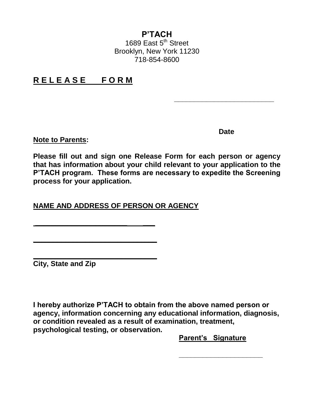#### **P'TACH** 1689 East 5<sup>th</sup> Street

Brooklyn, New York 11230 718-854-8600

 **\_\_\_\_\_\_\_\_\_\_\_\_\_\_\_\_\_\_\_\_\_\_\_\_\_**

#### **R E L E A S E F O R M**

*Date* **Date** 

**Note to Parents:**

**Please fill out and sign one Release Form for each person or agency that has information about your child relevant to your application to the P'TACH program. These forms are necessary to expedite the Screening process for your application.**

#### **NAME AND ADDRESS OF PERSON OR AGENCY**

**\_\_\_\_\_\_\_\_\_\_\_\_\_\_\_\_\_\_\_\_\_\_\_ \_\_\_** 

**\_\_\_\_\_\_\_\_\_\_\_\_\_\_\_\_\_\_\_\_\_\_\_\_\_\_\_\_\_\_\_**

**\_\_\_\_\_\_\_\_\_\_\_\_\_\_\_\_\_\_\_\_\_\_\_\_\_\_\_\_\_\_\_ City, State and Zip**

**I hereby authorize P'TACH to obtain from the above named person or agency, information concerning any educational information, diagnosis, or condition revealed as a result of examination, treatment, psychological testing, or observation.**

 **\_\_\_\_\_\_\_\_\_\_\_\_\_\_\_\_\_\_\_\_\_**

 **Parent's Signature**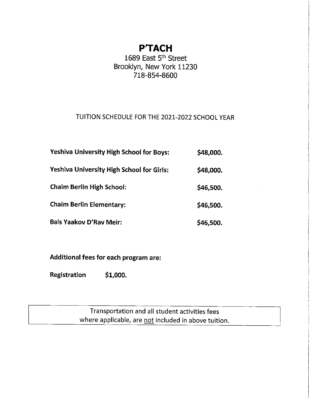# P'TACH

1689 East 5<sup>th</sup> Street Brooklyn, New York 11230 718-854-8600

#### TUITION SCHEDULE FOR THE 2021-2022 SCHOOL YEAR

| <b>Yeshiva University High School for Boys:</b> | \$48,000. |  |
|-------------------------------------------------|-----------|--|
| Yeshiva University High School for Girls:       | \$48,000. |  |

**Chaim Berlin High School:** \$46,500.

**Chaim Berlin Elementary:** \$46,500.

**Bais Yaakov D'Rav Meir:** \$46,500.

Additional fees for each program are:

Registration \$1,000.

> Transportation and all student activities fees where applicable, are not included in above tuition.